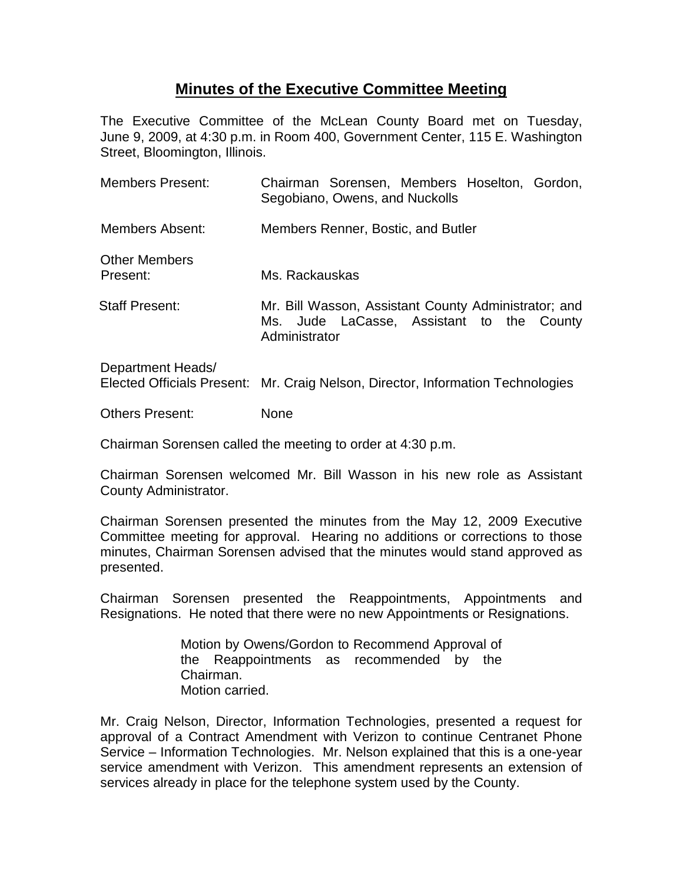## **Minutes of the Executive Committee Meeting**

The Executive Committee of the McLean County Board met on Tuesday, June 9, 2009, at 4:30 p.m. in Room 400, Government Center, 115 E. Washington Street, Bloomington, Illinois.

| <b>Members Present:</b>          | Chairman Sorensen, Members Hoselton, Gordon,<br>Segobiano, Owens, and Nuckolls                                     |
|----------------------------------|--------------------------------------------------------------------------------------------------------------------|
| Members Absent:                  | Members Renner, Bostic, and Butler                                                                                 |
| <b>Other Members</b><br>Present: | Ms. Rackauskas                                                                                                     |
| <b>Staff Present:</b>            | Mr. Bill Wasson, Assistant County Administrator; and<br>Ms. Jude LaCasse, Assistant to the County<br>Administrator |
| Department Heads/                |                                                                                                                    |

Elected Officials Present: Mr. Craig Nelson, Director, Information Technologies

Others Present: None

Chairman Sorensen called the meeting to order at 4:30 p.m.

Chairman Sorensen welcomed Mr. Bill Wasson in his new role as Assistant County Administrator.

Chairman Sorensen presented the minutes from the May 12, 2009 Executive Committee meeting for approval. Hearing no additions or corrections to those minutes, Chairman Sorensen advised that the minutes would stand approved as presented.

Chairman Sorensen presented the Reappointments, Appointments and Resignations. He noted that there were no new Appointments or Resignations.

> Motion by Owens/Gordon to Recommend Approval of the Reappointments as recommended by the Chairman. Motion carried.

Mr. Craig Nelson, Director, Information Technologies, presented a request for approval of a Contract Amendment with Verizon to continue Centranet Phone Service – Information Technologies. Mr. Nelson explained that this is a one-year service amendment with Verizon. This amendment represents an extension of services already in place for the telephone system used by the County.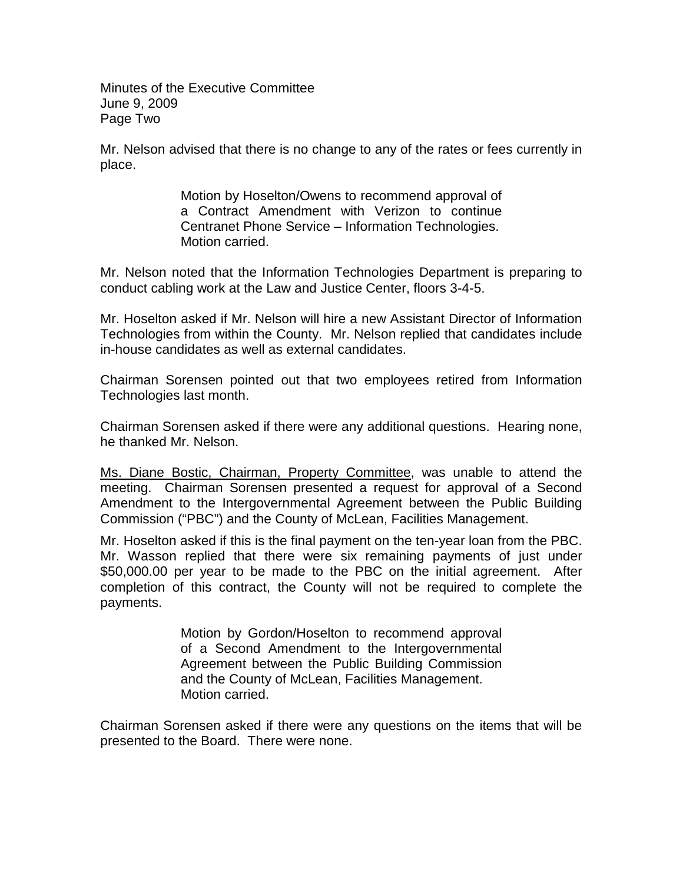Minutes of the Executive Committee June 9, 2009 Page Two

Mr. Nelson advised that there is no change to any of the rates or fees currently in place.

> Motion by Hoselton/Owens to recommend approval of a Contract Amendment with Verizon to continue Centranet Phone Service – Information Technologies. Motion carried.

Mr. Nelson noted that the Information Technologies Department is preparing to conduct cabling work at the Law and Justice Center, floors 3-4-5.

Mr. Hoselton asked if Mr. Nelson will hire a new Assistant Director of Information Technologies from within the County. Mr. Nelson replied that candidates include in-house candidates as well as external candidates.

Chairman Sorensen pointed out that two employees retired from Information Technologies last month.

Chairman Sorensen asked if there were any additional questions. Hearing none, he thanked Mr. Nelson.

Ms. Diane Bostic, Chairman, Property Committee, was unable to attend the meeting. Chairman Sorensen presented a request for approval of a Second Amendment to the Intergovernmental Agreement between the Public Building Commission ("PBC") and the County of McLean, Facilities Management.

Mr. Hoselton asked if this is the final payment on the ten-year loan from the PBC. Mr. Wasson replied that there were six remaining payments of just under \$50,000.00 per year to be made to the PBC on the initial agreement. After completion of this contract, the County will not be required to complete the payments.

> Motion by Gordon/Hoselton to recommend approval of a Second Amendment to the Intergovernmental Agreement between the Public Building Commission and the County of McLean, Facilities Management. Motion carried.

Chairman Sorensen asked if there were any questions on the items that will be presented to the Board. There were none.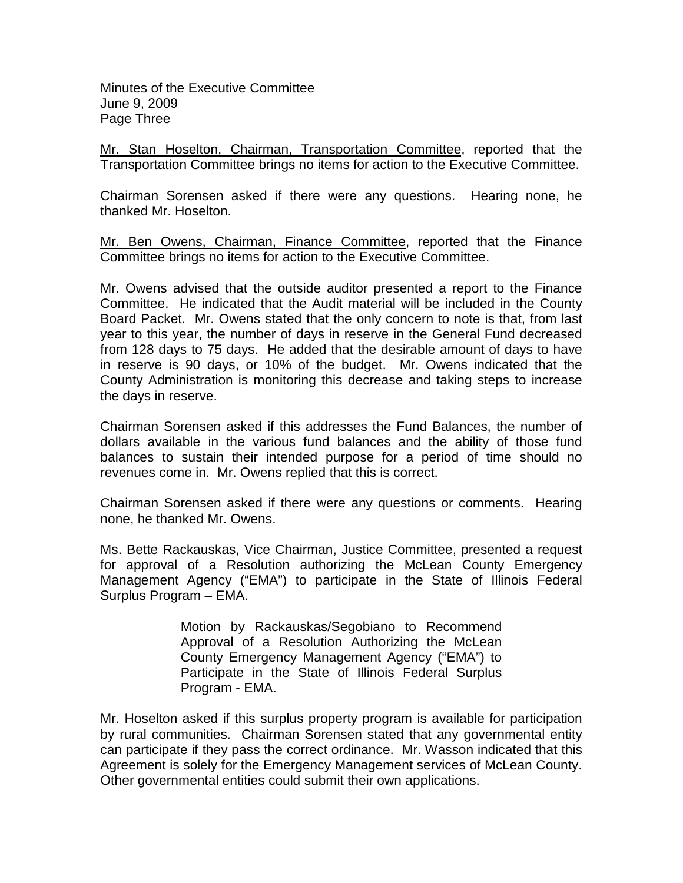Minutes of the Executive Committee June 9, 2009 Page Three

Mr. Stan Hoselton, Chairman, Transportation Committee, reported that the Transportation Committee brings no items for action to the Executive Committee.

Chairman Sorensen asked if there were any questions. Hearing none, he thanked Mr. Hoselton.

Mr. Ben Owens, Chairman, Finance Committee, reported that the Finance Committee brings no items for action to the Executive Committee.

Mr. Owens advised that the outside auditor presented a report to the Finance Committee. He indicated that the Audit material will be included in the County Board Packet. Mr. Owens stated that the only concern to note is that, from last year to this year, the number of days in reserve in the General Fund decreased from 128 days to 75 days. He added that the desirable amount of days to have in reserve is 90 days, or 10% of the budget. Mr. Owens indicated that the County Administration is monitoring this decrease and taking steps to increase the days in reserve.

Chairman Sorensen asked if this addresses the Fund Balances, the number of dollars available in the various fund balances and the ability of those fund balances to sustain their intended purpose for a period of time should no revenues come in. Mr. Owens replied that this is correct.

Chairman Sorensen asked if there were any questions or comments. Hearing none, he thanked Mr. Owens.

Ms. Bette Rackauskas, Vice Chairman, Justice Committee, presented a request for approval of a Resolution authorizing the McLean County Emergency Management Agency ("EMA") to participate in the State of Illinois Federal Surplus Program – EMA.

> Motion by Rackauskas/Segobiano to Recommend Approval of a Resolution Authorizing the McLean County Emergency Management Agency ("EMA") to Participate in the State of Illinois Federal Surplus Program - EMA.

Mr. Hoselton asked if this surplus property program is available for participation by rural communities. Chairman Sorensen stated that any governmental entity can participate if they pass the correct ordinance. Mr. Wasson indicated that this Agreement is solely for the Emergency Management services of McLean County. Other governmental entities could submit their own applications.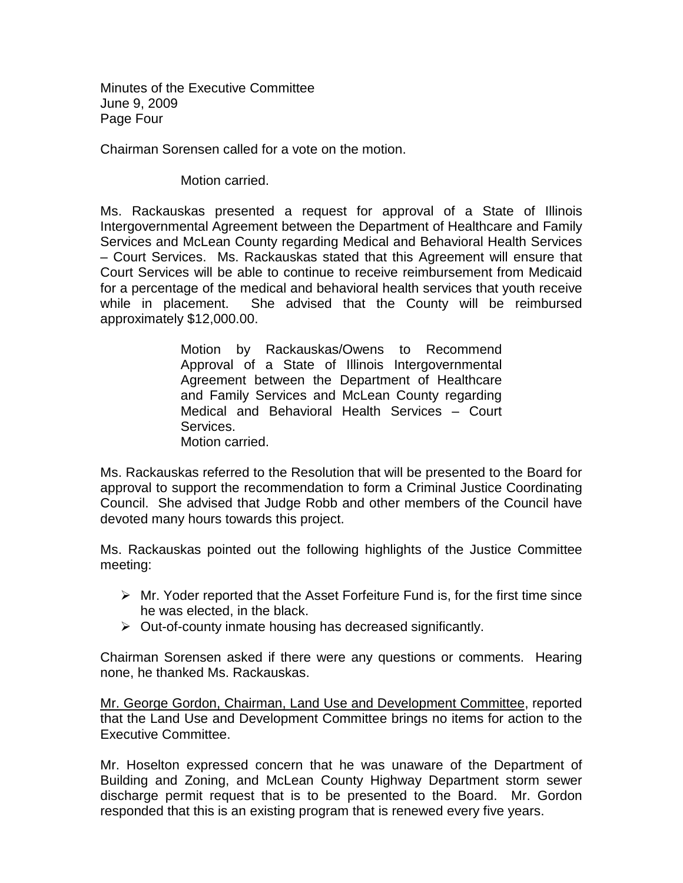Minutes of the Executive Committee June 9, 2009 Page Four

Chairman Sorensen called for a vote on the motion.

Motion carried.

Ms. Rackauskas presented a request for approval of a State of Illinois Intergovernmental Agreement between the Department of Healthcare and Family Services and McLean County regarding Medical and Behavioral Health Services – Court Services. Ms. Rackauskas stated that this Agreement will ensure that Court Services will be able to continue to receive reimbursement from Medicaid for a percentage of the medical and behavioral health services that youth receive while in placement. She advised that the County will be reimbursed approximately \$12,000.00.

> Motion by Rackauskas/Owens to Recommend Approval of a State of Illinois Intergovernmental Agreement between the Department of Healthcare and Family Services and McLean County regarding Medical and Behavioral Health Services – Court Services. Motion carried.

Ms. Rackauskas referred to the Resolution that will be presented to the Board for approval to support the recommendation to form a Criminal Justice Coordinating Council. She advised that Judge Robb and other members of the Council have devoted many hours towards this project.

Ms. Rackauskas pointed out the following highlights of the Justice Committee meeting:

- $\triangleright$  Mr. Yoder reported that the Asset Forfeiture Fund is, for the first time since he was elected, in the black.
- $\triangleright$  Out-of-county inmate housing has decreased significantly.

Chairman Sorensen asked if there were any questions or comments. Hearing none, he thanked Ms. Rackauskas.

Mr. George Gordon, Chairman, Land Use and Development Committee, reported that the Land Use and Development Committee brings no items for action to the Executive Committee.

Mr. Hoselton expressed concern that he was unaware of the Department of Building and Zoning, and McLean County Highway Department storm sewer discharge permit request that is to be presented to the Board. Mr. Gordon responded that this is an existing program that is renewed every five years.